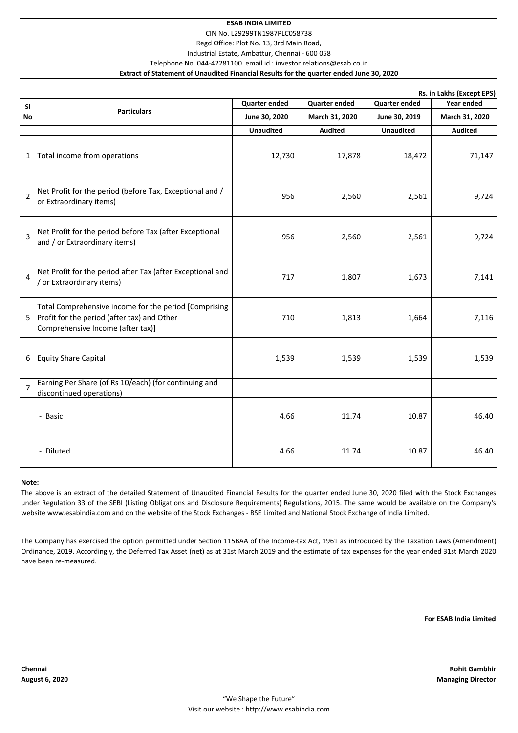# **ESAB INDIA LIMITED**

CIN No. L29299TN1987PLC058738

Regd Office: Plot No. 13, 3rd Main Road, Industrial Estate, Ambattur, Chennai - 600 058

Telephone No. 044-42281100 email id : investor.relations@esab.co.in

### **Extract of Statement of Unaudited Financial Results for the quarter ended June 30, 2020**

|                | Rs. in Lakhs (Except EPS)                                                                                                                 |                  |                      |                      |                |  |  |  |  |  |
|----------------|-------------------------------------------------------------------------------------------------------------------------------------------|------------------|----------------------|----------------------|----------------|--|--|--|--|--|
| <b>SI</b>      | <b>Particulars</b>                                                                                                                        | Quarter ended    | <b>Quarter ended</b> | <b>Quarter ended</b> | Year ended     |  |  |  |  |  |
| No             |                                                                                                                                           | June 30, 2020    | March 31, 2020       | June 30, 2019        | March 31, 2020 |  |  |  |  |  |
|                |                                                                                                                                           | <b>Unaudited</b> | <b>Audited</b>       | <b>Unaudited</b>     | <b>Audited</b> |  |  |  |  |  |
| 1              | Total income from operations                                                                                                              | 12,730           | 17,878               | 18,472               | 71,147         |  |  |  |  |  |
| $\overline{2}$ | Net Profit for the period (before Tax, Exceptional and /<br>or Extraordinary items)                                                       | 956              | 2,560                | 2,561                | 9,724          |  |  |  |  |  |
| 3              | Net Profit for the period before Tax (after Exceptional<br>and / or Extraordinary items)                                                  | 956              | 2,560                | 2,561                | 9,724          |  |  |  |  |  |
| 4              | Net Profit for the period after Tax (after Exceptional and<br>/ or Extraordinary items)                                                   | 717              | 1,807                | 1,673                | 7,141          |  |  |  |  |  |
| 5              | Total Comprehensive income for the period [Comprising<br>Profit for the period (after tax) and Other<br>Comprehensive Income (after tax)] | 710              | 1,813                | 1,664                | 7,116          |  |  |  |  |  |
| 6              | <b>Equity Share Capital</b>                                                                                                               | 1,539            | 1,539                | 1,539                | 1,539          |  |  |  |  |  |
| $\overline{7}$ | Earning Per Share (of Rs 10/each) (for continuing and<br>discontinued operations)                                                         |                  |                      |                      |                |  |  |  |  |  |
|                | - Basic                                                                                                                                   | 4.66             | 11.74                | 10.87                | 46.40          |  |  |  |  |  |
|                | - Diluted                                                                                                                                 | 4.66             | 11.74                | 10.87                | 46.40          |  |  |  |  |  |

### **Note:**

The above is an extract of the detailed Statement of Unaudited Financial Results for the quarter ended June 30, 2020 filed with the Stock Exchanges under Regulation 33 of the SEBI (Listing Obligations and Disclosure Requirements) Regulations, 2015. The same would be available on the Company's website www.esabindia.com and on the website of the Stock Exchanges - BSE Limited and National Stock Exchange of India Limited.

The Company has exercised the option permitted under Section 115BAA of the Income-tax Act, 1961 as introduced by the Taxation Laws (Amendment) Ordinance, 2019. Accordingly, the Deferred Tax Asset (net) as at 31st March 2019 and the estimate of tax expenses for the year ended 31st March 2020 have been re-measured.

**For ESAB India Limited**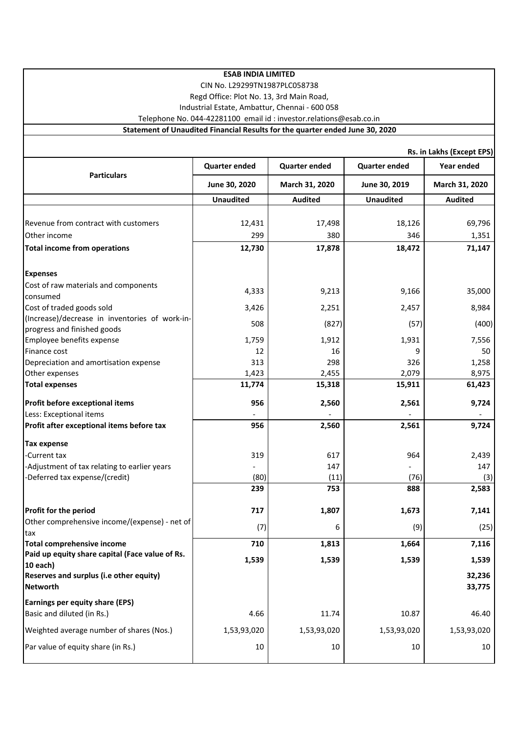| <b>ESAB INDIA LIMITED</b><br>CIN No. L29299TN1987PLC058738<br>Regd Office: Plot No. 13, 3rd Main Road,<br>Industrial Estate, Ambattur, Chennai - 600 058 |                      |                      |                      |                  |  |  |  |  |
|----------------------------------------------------------------------------------------------------------------------------------------------------------|----------------------|----------------------|----------------------|------------------|--|--|--|--|
| Telephone No. 044-42281100 email id : investor.relations@esab.co.in<br>Statement of Unaudited Financial Results for the quarter ended June 30, 2020      |                      |                      |                      |                  |  |  |  |  |
|                                                                                                                                                          |                      |                      |                      |                  |  |  |  |  |
| Rs. in Lakhs (Except EPS)                                                                                                                                |                      |                      |                      |                  |  |  |  |  |
| <b>Particulars</b>                                                                                                                                       | <b>Quarter ended</b> | <b>Quarter ended</b> | <b>Quarter ended</b> | Year ended       |  |  |  |  |
|                                                                                                                                                          | June 30, 2020        | March 31, 2020       | June 30, 2019        | March 31, 2020   |  |  |  |  |
|                                                                                                                                                          | <b>Unaudited</b>     | <b>Audited</b>       | <b>Unaudited</b>     | <b>Audited</b>   |  |  |  |  |
|                                                                                                                                                          |                      |                      |                      |                  |  |  |  |  |
| Revenue from contract with customers                                                                                                                     | 12,431               | 17,498               | 18,126               | 69,796           |  |  |  |  |
| Other income                                                                                                                                             | 299                  | 380                  | 346                  | 1,351            |  |  |  |  |
| <b>Total income from operations</b>                                                                                                                      | 12,730               | 17,878               | 18,472               | 71,147           |  |  |  |  |
|                                                                                                                                                          |                      |                      |                      |                  |  |  |  |  |
| <b>Expenses</b>                                                                                                                                          |                      |                      |                      |                  |  |  |  |  |
| Cost of raw materials and components                                                                                                                     | 4,333                | 9,213                | 9,166                | 35,000           |  |  |  |  |
| consumed                                                                                                                                                 |                      |                      |                      |                  |  |  |  |  |
| Cost of traded goods sold                                                                                                                                | 3,426                | 2,251                | 2,457                | 8,984            |  |  |  |  |
| (Increase)/decrease in inventories of work-in-<br>progress and finished goods                                                                            | 508                  | (827)                | (57)                 | (400)            |  |  |  |  |
| Employee benefits expense                                                                                                                                | 1,759                | 1,912                | 1,931                | 7,556            |  |  |  |  |
| Finance cost                                                                                                                                             | 12                   | 16                   | ٩                    | 50               |  |  |  |  |
| Depreciation and amortisation expense                                                                                                                    | 313                  | 298                  | 326                  | 1,258            |  |  |  |  |
| Other expenses                                                                                                                                           | 1,423                | 2,455                | 2,079                | 8,975            |  |  |  |  |
| <b>Total expenses</b>                                                                                                                                    | 11,774               | 15,318               | 15,911               | 61,423           |  |  |  |  |
| Profit before exceptional items                                                                                                                          | 956                  | 2,560                | 2,561                | 9,724            |  |  |  |  |
| Less: Exceptional items                                                                                                                                  |                      |                      |                      |                  |  |  |  |  |
| Profit after exceptional items before tax                                                                                                                | 956                  | 2,560                | 2,561                | 9,724            |  |  |  |  |
| <b>Tax expense</b>                                                                                                                                       |                      |                      |                      |                  |  |  |  |  |
| -Current tax                                                                                                                                             | 319                  | 617                  | 964                  | 2,439            |  |  |  |  |
| -Adjustment of tax relating to earlier years                                                                                                             |                      | 147                  |                      | 147              |  |  |  |  |
| -Deferred tax expense/(credit)                                                                                                                           | (80)                 | (11)                 | (76)                 | (3)              |  |  |  |  |
|                                                                                                                                                          | 239                  | 753                  | 888                  | 2,583            |  |  |  |  |
| Profit for the period                                                                                                                                    | 717                  | 1,807                | 1,673                | 7,141            |  |  |  |  |
| Other comprehensive income/(expense) - net of<br>tax                                                                                                     | (7)                  | 6                    | (9)                  | (25)             |  |  |  |  |
| <b>Total comprehensive income</b>                                                                                                                        | 710                  | 1,813                | 1,664                | 7,116            |  |  |  |  |
| Paid up equity share capital (Face value of Rs.                                                                                                          | 1,539                | 1,539                | 1,539                | 1,539            |  |  |  |  |
| 10 each)                                                                                                                                                 |                      |                      |                      |                  |  |  |  |  |
| Reserves and surplus (i.e other equity)<br><b>Networth</b>                                                                                               |                      |                      |                      | 32,236<br>33,775 |  |  |  |  |
| Earnings per equity share (EPS)                                                                                                                          |                      |                      |                      |                  |  |  |  |  |
| Basic and diluted (in Rs.)                                                                                                                               | 4.66                 | 11.74                | 10.87                | 46.40            |  |  |  |  |
| Weighted average number of shares (Nos.)                                                                                                                 | 1,53,93,020          | 1,53,93,020          | 1,53,93,020          | 1,53,93,020      |  |  |  |  |
| Par value of equity share (in Rs.)                                                                                                                       | 10                   | 10                   | 10                   | 10               |  |  |  |  |